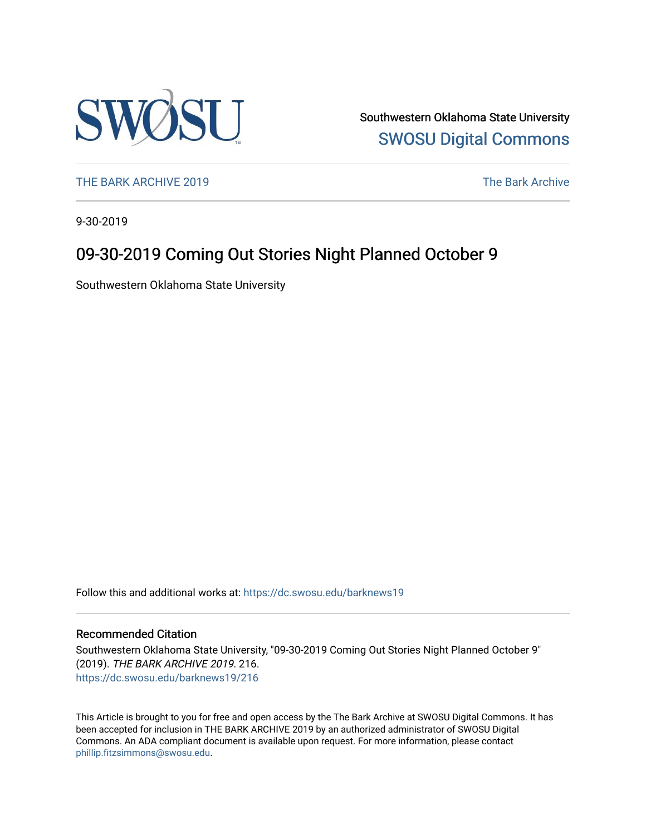

Southwestern Oklahoma State University [SWOSU Digital Commons](https://dc.swosu.edu/) 

[THE BARK ARCHIVE 2019](https://dc.swosu.edu/barknews19) The Bark Archive

9-30-2019

### 09-30-2019 Coming Out Stories Night Planned October 9

Southwestern Oklahoma State University

Follow this and additional works at: [https://dc.swosu.edu/barknews19](https://dc.swosu.edu/barknews19?utm_source=dc.swosu.edu%2Fbarknews19%2F216&utm_medium=PDF&utm_campaign=PDFCoverPages)

#### Recommended Citation

Southwestern Oklahoma State University, "09-30-2019 Coming Out Stories Night Planned October 9" (2019). THE BARK ARCHIVE 2019. 216. [https://dc.swosu.edu/barknews19/216](https://dc.swosu.edu/barknews19/216?utm_source=dc.swosu.edu%2Fbarknews19%2F216&utm_medium=PDF&utm_campaign=PDFCoverPages)

This Article is brought to you for free and open access by the The Bark Archive at SWOSU Digital Commons. It has been accepted for inclusion in THE BARK ARCHIVE 2019 by an authorized administrator of SWOSU Digital Commons. An ADA compliant document is available upon request. For more information, please contact [phillip.fitzsimmons@swosu.edu](mailto:phillip.fitzsimmons@swosu.edu).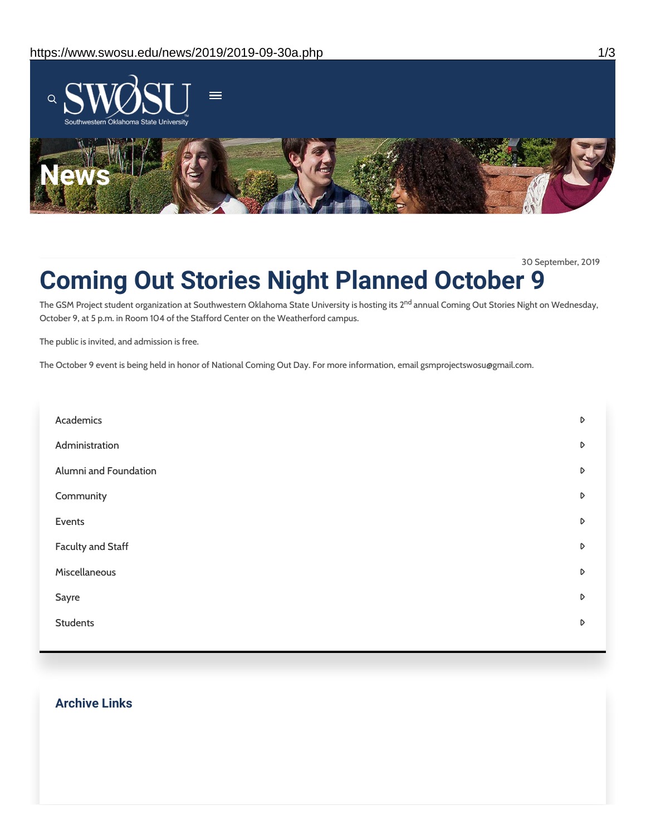

30 September, 2019

## **Coming Out Stories Night Planned October 9**

The GSM Project student organization at Southwestern Oklahoma State University is hosting its 2<sup>nd</sup> annual Coming Out Stories Night on Wednesday, October 9, at 5 p.m. in Room 104 of the Stafford Center on the Weatherford campus.

The public is invited, and admission is free.

The October 9 event is being held in honor of National Coming Out Day. For more information, email gsmprojectswosu@gmail.com.

| D |
|---|
| D |
| D |
| D |
| D |
| D |
| D |
| D |
| D |
|   |

#### **Archive Links**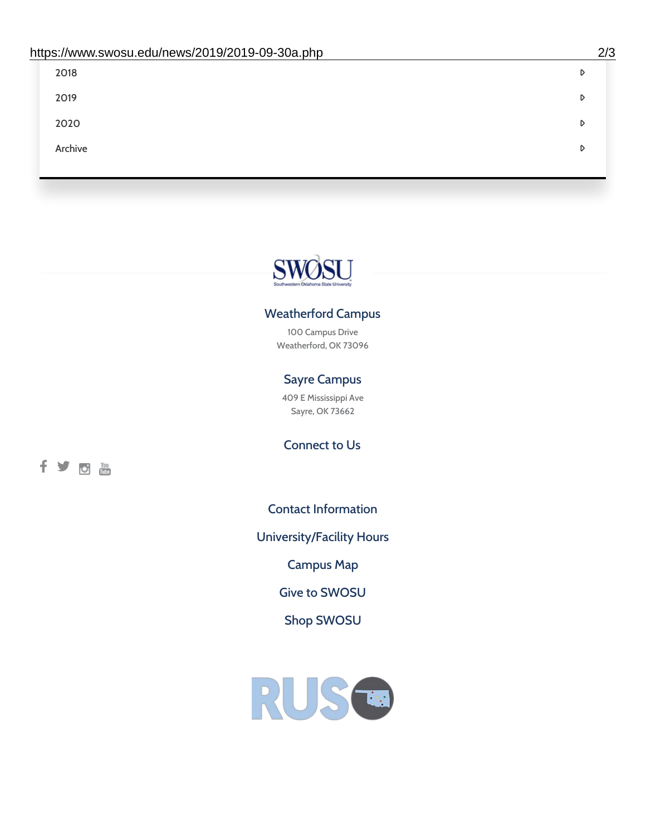| 2018    | D |
|---------|---|
| 2019    | D |
| 2020    | D |
| Archive | D |
|         |   |

# SWØSU

#### Weatherford Campus

100 Campus Drive Weatherford, OK 73096

#### Sayre Campus

409 E Mississippi Ave Sayre, OK 73662

fyom

Connect to Us

Contact [Information](https://www.swosu.edu/about/contact.php)

[University/Facility](https://www.swosu.edu/about/operating-hours.php) Hours

[Campus](https://map.concept3d.com/?id=768#!ct/10964,10214,10213,10212,10205,10204,10203,10202,10136,10129,10128,0,31226,10130,10201,10641,0) Map

Give to [SWOSU](https://standingfirmly.com/donate)

Shop [SWOSU](https://shopswosu.merchorders.com/)